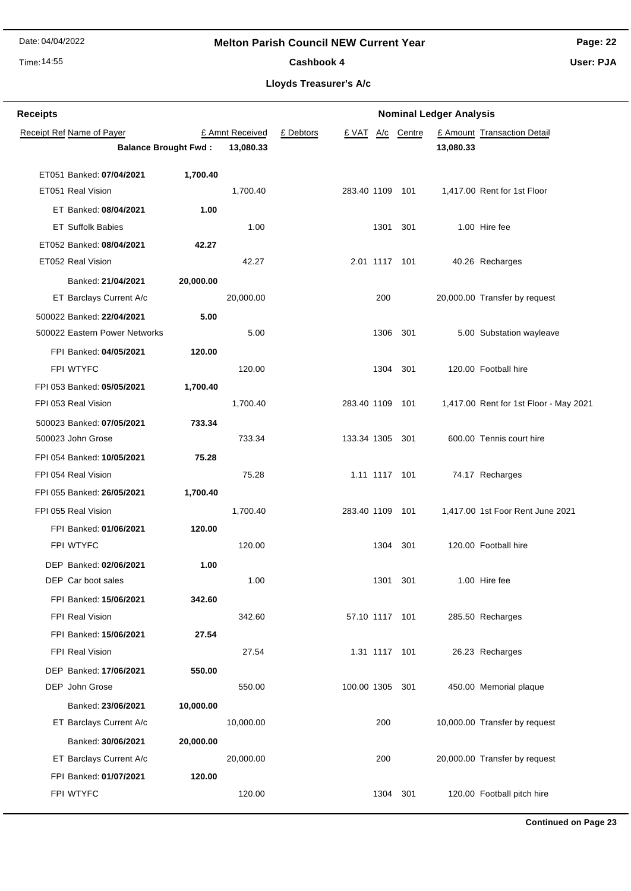**Receipt Ref Name of Payer** 

Banked: **30/06/2021 20,000.00**

FPI Banked: **01/07/2021 120.00**

#### **Melton Parish Council NEW Current Year**

£ Amnt Received £ Debtors £ VAT A/c Centre

**Balance Brought Fwd : 13,080.33 13,080.33**

Time: 14:55

**Receipts**

**Nominal Ledger Analysis**

**£ Amount Transaction Detail** 

**Page: 22 User: PJA**

Cashbook 4

**Lloyds Treasurer's A/c**

| ET051 Banked: 07/04/2021          | 1,700.40  |           |                 |          |                                        |
|-----------------------------------|-----------|-----------|-----------------|----------|----------------------------------------|
| ET051 Real Vision                 |           | 1,700.40  | 283.40 1109 101 |          | 1,417.00 Rent for 1st Floor            |
| ET Banked: 08/04/2021             | 1.00      |           |                 |          |                                        |
| <b>ET Suffolk Babies</b>          |           | 1.00      | 1301            | 301      | 1.00 Hire fee                          |
| ET052 Banked: 08/04/2021          | 42.27     |           |                 |          |                                        |
| ET052 Real Vision                 |           | 42.27     | 2.01 1117 101   |          | 40.26 Recharges                        |
| Banked: 21/04/2021                | 20,000.00 |           |                 |          |                                        |
| ET Barclays Current A/c           |           | 20,000.00 | 200             |          | 20,000.00 Transfer by request          |
| 500022 Banked: 22/04/2021         | 5.00      |           |                 |          |                                        |
| 500022 Eastern Power Networks     |           | 5.00      |                 | 1306 301 | 5.00 Substation wayleave               |
| FPI Banked: 04/05/2021            | 120.00    |           |                 |          |                                        |
| FPI WTYFC                         |           | 120.00    |                 | 1304 301 | 120.00 Football hire                   |
| FPI 053 Banked: 05/05/2021        | 1,700.40  |           |                 |          |                                        |
| FPI 053 Real Vision               |           | 1,700.40  | 283.40 1109 101 |          | 1,417.00 Rent for 1st Floor - May 2021 |
| 500023 Banked: 07/05/2021         | 733.34    |           |                 |          |                                        |
| 500023 John Grose                 |           | 733.34    | 133.34 1305 301 |          | 600.00 Tennis court hire               |
| FPI 054 Banked: <b>10/05/2021</b> | 75.28     |           |                 |          |                                        |
| FPI 054 Real Vision               |           | 75.28     | 1.11 1117 101   |          | 74.17 Recharges                        |
| FPI 055 Banked: <b>26/05/2021</b> | 1,700.40  |           |                 |          |                                        |
| FPI 055 Real Vision               |           | 1,700.40  | 283.40 1109     | 101      | 1,417.00 1st Foor Rent June 2021       |
| FPI Banked: 01/06/2021            | 120.00    |           |                 |          |                                        |
| FPI WTYFC                         |           | 120.00    |                 | 1304 301 | 120.00 Football hire                   |
| DEP Banked: 02/06/2021            | 1.00      |           |                 |          |                                        |
| DEP Car boot sales                |           | 1.00      | 1301            | 301      | 1.00 Hire fee                          |
| FPI Banked: 15/06/2021            | 342.60    |           |                 |          |                                        |
| FPI Real Vision                   |           | 342.60    | 57.10 1117 101  |          | 285.50 Recharges                       |
| FPI Banked: 15/06/2021            | 27.54     |           |                 |          |                                        |
| FPI Real Vision                   |           | 27.54     | 1.31 1117 101   |          | 26.23 Recharges                        |
| DEP Banked: 17/06/2021            | 550.00    |           |                 |          |                                        |
| DEP John Grose                    |           | 550.00    | 100.00 1305     | 301      | 450.00 Memorial plaque                 |
| Banked: 23/06/2021                | 10,000.00 |           |                 |          |                                        |
| ET Barclays Current A/c           |           | 10,000.00 | 200             |          | 10,000.00 Transfer by request          |

ET Barclays Current A/c 20,000.00 20,000.00 200 200 20,000.00 Transfer by request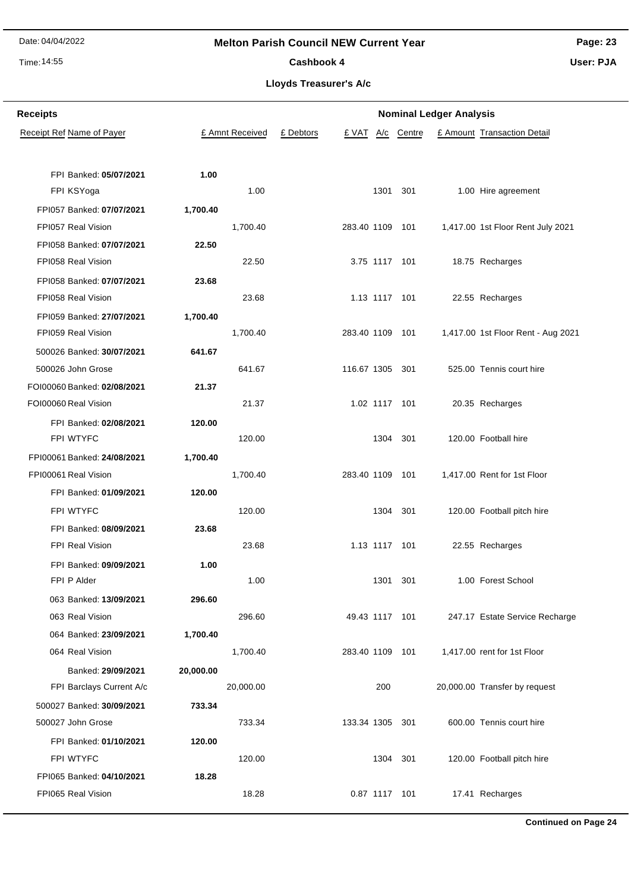### Time: 14:55

#### **Melton Parish Council NEW Current Year**

**Page: 23 User: PJA**

#### Cashbook 4

**Lloyds Treasurer's A/c**

| <b>Receipts</b>             |           | <b>Nominal Ledger Analysis</b> |           |                 |               |            |  |                                    |
|-----------------------------|-----------|--------------------------------|-----------|-----------------|---------------|------------|--|------------------------------------|
| Receipt Ref Name of Payer   |           | £ Amnt Received                | £ Debtors | £ VAT           |               | A/c Centre |  | £ Amount Transaction Detail        |
|                             |           |                                |           |                 |               |            |  |                                    |
| FPI Banked: 05/07/2021      | 1.00      |                                |           |                 |               |            |  |                                    |
| FPI KSYoga                  |           | 1.00                           |           |                 | 1301          | 301        |  | 1.00 Hire agreement                |
| FPI057 Banked: 07/07/2021   | 1,700.40  |                                |           |                 |               |            |  |                                    |
| FPI057 Real Vision          |           | 1,700.40                       |           | 283.40 1109 101 |               |            |  | 1,417.00 1st Floor Rent July 2021  |
| FPI058 Banked: 07/07/2021   | 22.50     |                                |           |                 |               |            |  |                                    |
| FPI058 Real Vision          |           | 22.50                          |           |                 | 3.75 1117 101 |            |  | 18.75 Recharges                    |
| FPI058 Banked: 07/07/2021   | 23.68     |                                |           |                 |               |            |  |                                    |
| FPI058 Real Vision          |           | 23.68                          |           |                 | 1.13 1117 101 |            |  | 22.55 Recharges                    |
| FPI059 Banked: 27/07/2021   | 1,700.40  |                                |           |                 |               |            |  |                                    |
| FPI059 Real Vision          |           | 1,700.40                       |           | 283.40 1109     |               | 101        |  | 1,417.00 1st Floor Rent - Aug 2021 |
| 500026 Banked: 30/07/2021   | 641.67    |                                |           |                 |               |            |  |                                    |
| 500026 John Grose           |           | 641.67                         |           | 116.67 1305     |               | 301        |  | 525.00 Tennis court hire           |
| FOI00060 Banked: 02/08/2021 | 21.37     |                                |           |                 |               |            |  |                                    |
| FOI00060 Real Vision        |           | 21.37                          |           |                 | 1.02 1117 101 |            |  | 20.35 Recharges                    |
| FPI Banked: 02/08/2021      | 120.00    |                                |           |                 |               |            |  |                                    |
| FPI WTYFC                   |           | 120.00                         |           |                 | 1304          | 301        |  | 120.00 Football hire               |
| FPI00061 Banked: 24/08/2021 | 1,700.40  |                                |           |                 |               |            |  |                                    |
| FPI00061 Real Vision        |           | 1,700.40                       |           | 283.40 1109 101 |               |            |  | 1,417.00 Rent for 1st Floor        |
| FPI Banked: 01/09/2021      | 120.00    |                                |           |                 |               |            |  |                                    |
| FPI WTYFC                   |           | 120.00                         |           |                 | 1304          | 301        |  | 120.00 Football pitch hire         |
| FPI Banked: 08/09/2021      | 23.68     |                                |           |                 |               |            |  |                                    |
| FPI Real Vision             |           | 23.68                          |           |                 | 1.13 1117 101 |            |  | 22.55 Recharges                    |
| FPI Banked: 09/09/2021      | 1.00      |                                |           |                 |               |            |  |                                    |
| FPI P Alder                 |           | 1.00                           |           |                 | 1301 301      |            |  | 1.00 Forest School                 |
| 063 Banked: 13/09/2021      | 296.60    |                                |           |                 |               |            |  |                                    |
| 063 Real Vision             |           | 296.60                         |           | 49.43 1117 101  |               |            |  | 247.17 Estate Service Recharge     |
| 064 Banked: 23/09/2021      | 1,700.40  |                                |           |                 |               |            |  |                                    |
| 064 Real Vision             |           | 1,700.40                       |           | 283.40 1109 101 |               |            |  | 1,417.00 rent for 1st Floor        |
| Banked: 29/09/2021          | 20,000.00 |                                |           |                 |               |            |  |                                    |
| FPI Barclays Current A/c    |           | 20,000.00                      |           |                 | 200           |            |  | 20,000.00 Transfer by request      |
| 500027 Banked: 30/09/2021   | 733.34    |                                |           |                 |               |            |  |                                    |
| 500027 John Grose           |           | 733.34                         |           | 133.34 1305 301 |               |            |  | 600.00 Tennis court hire           |
| FPI Banked: 01/10/2021      | 120.00    |                                |           |                 |               |            |  |                                    |
| FPI WTYFC                   |           | 120.00                         |           |                 | 1304          | 301        |  | 120.00 Football pitch hire         |
| FPI065 Banked: 04/10/2021   | 18.28     |                                |           |                 |               |            |  |                                    |
| FPI065 Real Vision          |           | 18.28                          |           |                 | 0.87 1117 101 |            |  | 17.41 Recharges                    |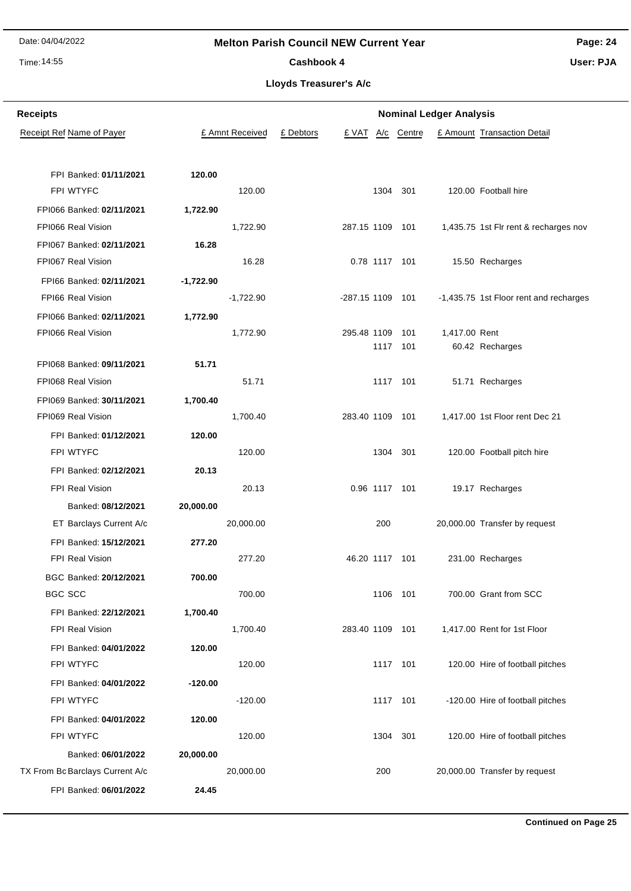#### Time: 14:55

#### **Melton Parish Council NEW Current Year**

**Page: 24 User: PJA**

Cashbook 4

| <b>Receipts</b>                     |           | <b>Nominal Ledger Analysis</b> |           |                  |               |            |               |                                        |  |
|-------------------------------------|-----------|--------------------------------|-----------|------------------|---------------|------------|---------------|----------------------------------------|--|
| Receipt Ref Name of Payer           |           | £ Amnt Received                | £ Debtors | £ VAT            |               | A/c Centre |               | £ Amount Transaction Detail            |  |
| FPI Banked: 01/11/2021<br>FPI WTYFC | 120.00    | 120.00                         |           |                  | 1304          | 301        |               | 120.00 Football hire                   |  |
| FPI066 Banked: 02/11/2021           | 1,722.90  |                                |           |                  |               |            |               |                                        |  |
| FPI066 Real Vision                  |           | 1,722.90                       |           | 287.15 1109 101  |               |            |               | 1,435.75 1st Flr rent & recharges nov  |  |
| FPI067 Banked: 02/11/2021           | 16.28     |                                |           |                  |               |            |               |                                        |  |
| FPI067 Real Vision                  |           | 16.28                          |           |                  | 0.78 1117 101 |            |               | 15.50 Recharges                        |  |
| FPI66 Banked: 02/11/2021            | -1,722.90 |                                |           |                  |               |            |               |                                        |  |
| FPI66 Real Vision                   |           | $-1,722.90$                    |           | -287.15 1109 101 |               |            |               | -1,435.75 1st Floor rent and recharges |  |
| FPI066 Banked: 02/11/2021           | 1,772.90  |                                |           |                  |               |            |               |                                        |  |
| FPI066 Real Vision                  |           | 1,772.90                       |           | 295.48 1109      |               | 101        | 1,417.00 Rent |                                        |  |
|                                     |           |                                |           |                  |               | 1117 101   |               | 60.42 Recharges                        |  |
| FPI068 Banked: 09/11/2021           | 51.71     |                                |           |                  |               |            |               |                                        |  |
| FPI068 Real Vision                  |           | 51.71                          |           |                  |               | 1117 101   |               | 51.71 Recharges                        |  |
| FPI069 Banked: 30/11/2021           | 1,700.40  |                                |           |                  |               |            |               |                                        |  |
| FPI069 Real Vision                  |           | 1,700.40                       |           | 283.40 1109 101  |               |            |               | 1,417.00 1st Floor rent Dec 21         |  |
| FPI Banked: 01/12/2021              | 120.00    |                                |           |                  |               |            |               |                                        |  |
| FPI WTYFC                           |           | 120.00                         |           |                  | 1304          | 301        |               | 120.00 Football pitch hire             |  |
| FPI Banked: 02/12/2021              | 20.13     |                                |           |                  |               |            |               |                                        |  |
| FPI Real Vision                     |           | 20.13                          |           |                  | 0.96 1117 101 |            |               | 19.17 Recharges                        |  |
| Banked: 08/12/2021                  | 20,000.00 |                                |           |                  |               |            |               |                                        |  |
| ET Barclays Current A/c             |           | 20,000.00                      |           |                  | 200           |            |               | 20,000.00 Transfer by request          |  |
| FPI Banked: 15/12/2021              | 277.20    |                                |           |                  |               |            |               |                                        |  |
| FPI Real Vision                     |           | 277.20                         |           | 46.20 1117 101   |               |            |               | 231.00 Recharges                       |  |
| BGC Banked: 20/12/2021              | 700.00    |                                |           |                  |               |            |               |                                        |  |
| BGC SCC                             |           | 700.00                         |           |                  |               | 1106 101   |               | 700.00 Grant from SCC                  |  |
| FPI Banked: 22/12/2021              | 1,700.40  |                                |           |                  |               |            |               |                                        |  |
| <b>FPI Real Vision</b>              |           | 1,700.40                       |           | 283.40 1109 101  |               |            |               | 1,417.00 Rent for 1st Floor            |  |
| FPI Banked: 04/01/2022              | 120.00    |                                |           |                  |               |            |               |                                        |  |
| FPI WTYFC                           |           | 120.00                         |           |                  |               | 1117 101   |               | 120.00 Hire of football pitches        |  |
| FPI Banked: 04/01/2022              | $-120.00$ |                                |           |                  |               |            |               |                                        |  |
| FPI WTYFC                           |           | $-120.00$                      |           |                  |               | 1117 101   |               | -120.00 Hire of football pitches       |  |
| FPI Banked: 04/01/2022              | 120.00    |                                |           |                  |               |            |               |                                        |  |
| FPI WTYFC                           |           | 120.00                         |           |                  |               | 1304 301   |               | 120.00 Hire of football pitches        |  |
| Banked: 06/01/2022                  | 20,000.00 |                                |           |                  |               |            |               |                                        |  |
| TX From Bc Barclays Current A/c     |           | 20,000.00                      |           |                  | 200           |            |               | 20,000.00 Transfer by request          |  |
| FPI Banked: 06/01/2022              | 24.45     |                                |           |                  |               |            |               |                                        |  |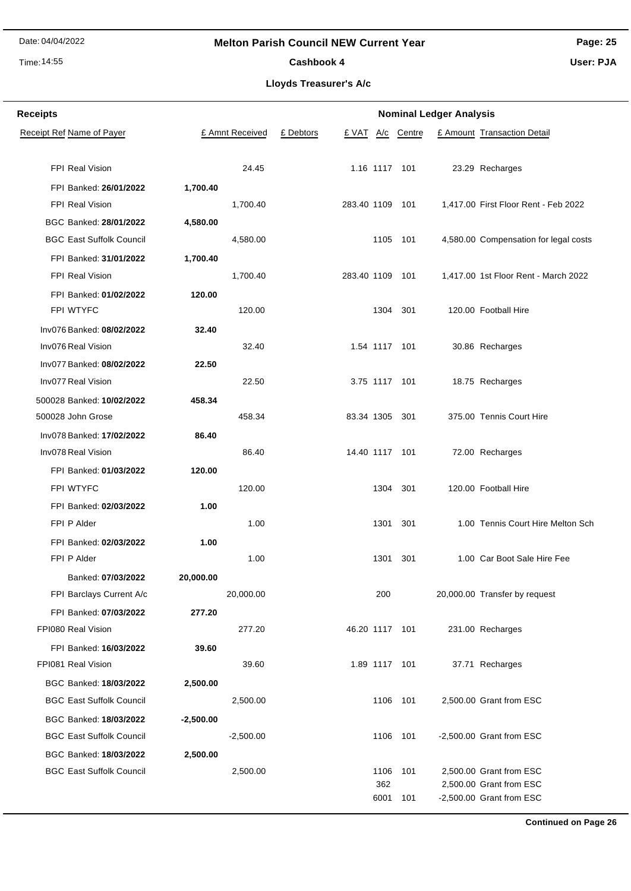#### Time: 14:55

**Receipts**

BGC Banked: **18/03/2022 -2,500.00**

BGC Banked: **18/03/2022 2,500.00**

#### **Melton Parish Council NEW Current Year**

**Page: 25 User: PJA**

### Cashbook 4

**Lloyds Treasurer's A/c**

**Nominal Ledger Analysis**

| Receipt Ref Name of Payer       |           | £ Amnt Received | £ Debtors |                 |               | £ VAT A/c Centre | £ Amount Transaction Detail           |
|---------------------------------|-----------|-----------------|-----------|-----------------|---------------|------------------|---------------------------------------|
|                                 |           |                 |           |                 |               |                  |                                       |
| FPI Real Vision                 |           | 24.45           |           |                 | 1.16 1117 101 |                  | 23.29 Recharges                       |
| FPI Banked: 26/01/2022          | 1,700.40  |                 |           |                 |               |                  |                                       |
| FPI Real Vision                 |           | 1,700.40        |           | 283.40 1109 101 |               |                  | 1,417.00 First Floor Rent - Feb 2022  |
| BGC Banked: 28/01/2022          | 4,580.00  |                 |           |                 |               |                  |                                       |
| <b>BGC East Suffolk Council</b> |           | 4,580.00        |           |                 |               | 1105 101         | 4,580.00 Compensation for legal costs |
| FPI Banked: 31/01/2022          | 1,700.40  |                 |           |                 |               |                  |                                       |
| FPI Real Vision                 |           | 1,700.40        |           | 283.40 1109 101 |               |                  | 1,417.00 1st Floor Rent - March 2022  |
| FPI Banked: 01/02/2022          | 120.00    |                 |           |                 |               |                  |                                       |
| FPI WTYFC                       |           | 120.00          |           |                 |               | 1304 301         | 120.00 Football Hire                  |
| Inv076 Banked: 08/02/2022       | 32.40     |                 |           |                 |               |                  |                                       |
| Inv076 Real Vision              |           | 32.40           |           |                 | 1.54 1117 101 |                  | 30.86 Recharges                       |
| Inv077 Banked: 08/02/2022       | 22.50     |                 |           |                 |               |                  |                                       |
| Inv077 Real Vision              |           | 22.50           |           |                 | 3.75 1117 101 |                  | 18.75 Recharges                       |
| 500028 Banked: 10/02/2022       | 458.34    |                 |           |                 |               |                  |                                       |
| 500028 John Grose               |           | 458.34          |           | 83.34 1305 301  |               |                  | 375.00 Tennis Court Hire              |
| Inv078 Banked: 17/02/2022       | 86.40     |                 |           |                 |               |                  |                                       |
| Inv078 Real Vision              |           | 86.40           |           | 14.40 1117 101  |               |                  | 72.00 Recharges                       |
| FPI Banked: 01/03/2022          | 120.00    |                 |           |                 |               |                  |                                       |
| FPI WTYFC                       |           | 120.00          |           |                 |               | 1304 301         | 120.00 Football Hire                  |
| FPI Banked: 02/03/2022          | 1.00      |                 |           |                 |               |                  |                                       |
| FPI P Alder                     |           | 1.00            |           |                 |               | 1301 301         | 1.00 Tennis Court Hire Melton Sch     |
| FPI Banked: 02/03/2022          | 1.00      |                 |           |                 |               |                  |                                       |
| FPI P Alder                     |           | 1.00            |           |                 | 1301 301      |                  | 1.00 Car Boot Sale Hire Fee           |
| Banked: 07/03/2022              | 20,000.00 |                 |           |                 |               |                  |                                       |
| FPI Barclays Current A/c        |           | 20,000.00       |           |                 | 200           |                  | 20,000.00 Transfer by request         |
| FPI Banked: 07/03/2022          | 277.20    |                 |           |                 |               |                  |                                       |
| FPI080 Real Vision              |           | 277.20          |           | 46.20 1117 101  |               |                  | 231.00 Recharges                      |
| FPI Banked: 16/03/2022          | 39.60     |                 |           |                 |               |                  |                                       |
| FPI081 Real Vision              |           | 39.60           |           |                 | 1.89 1117 101 |                  | 37.71 Recharges                       |
| BGC Banked: 18/03/2022          | 2,500.00  |                 |           |                 |               |                  |                                       |
| <b>BGC East Suffolk Council</b> |           | 2,500.00        |           |                 |               | 1106 101         | 2,500.00 Grant from ESC               |

BGC East Suffolk Council <sup>-2,500.00</sup> -2,500.00 1106 101 -2,500.00 Grant from ESC

BGC East Suffolk Council 2,500.00 1106 101 2,500.00 Grant from ESC

362 2,500.00 Grant from ESC 6001 101 -2,500.00 Grant from ESC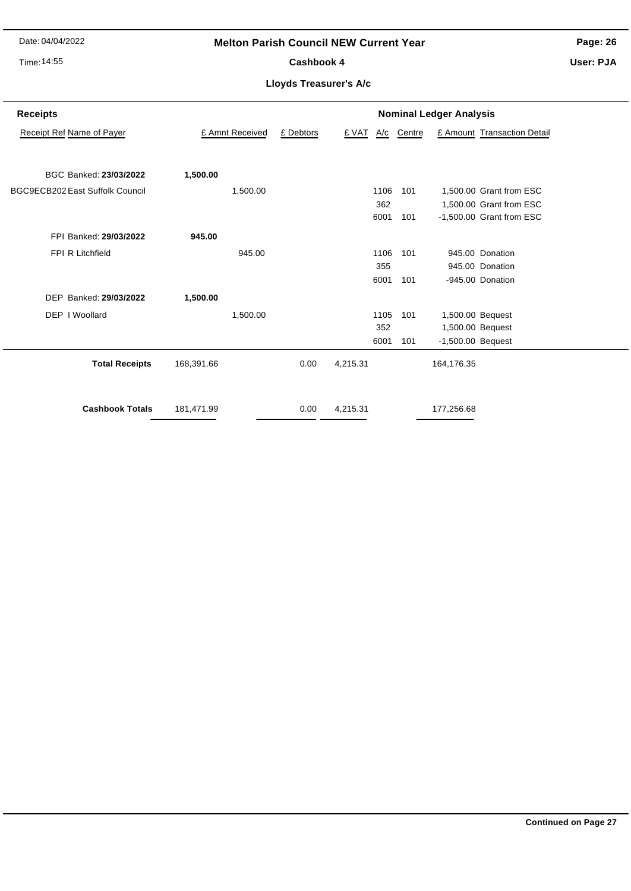#### Time: 14:55

#### **Melton Parish Council NEW Current Year**

Cashbook 4

**Page: 26 User: PJA**

| <b>Receipts</b>                 |                 | <b>Nominal Ledger Analysis</b> |          |     |        |                     |                             |  |  |
|---------------------------------|-----------------|--------------------------------|----------|-----|--------|---------------------|-----------------------------|--|--|
| Receipt Ref Name of Payer       | £ Amnt Received | £ Debtors                      | £ VAT    | A/c | Centre |                     | £ Amount Transaction Detail |  |  |
|                                 |                 |                                |          |     |        |                     |                             |  |  |
| BGC Banked: 23/03/2022          | 1,500.00        |                                |          |     |        |                     |                             |  |  |
| BGC9ECB202 East Suffolk Council | 1,500.00        |                                | 1106     |     | 101    |                     | 1,500.00 Grant from ESC     |  |  |
|                                 |                 |                                |          | 362 |        |                     | 1,500.00 Grant from ESC     |  |  |
|                                 |                 |                                | 6001     |     | 101    |                     | -1,500.00 Grant from ESC    |  |  |
| FPI Banked: 29/03/2022          | 945.00          |                                |          |     |        |                     |                             |  |  |
| FPI R Litchfield                | 945.00          |                                | 1106     |     | 101    |                     | 945.00 Donation             |  |  |
|                                 |                 |                                |          | 355 |        |                     | 945.00 Donation             |  |  |
|                                 |                 |                                | 6001     |     | 101    |                     | -945.00 Donation            |  |  |
| DEP Banked: 29/03/2022          | 1,500.00        |                                |          |     |        |                     |                             |  |  |
| DEP I Woollard                  | 1,500.00        |                                | 1105     |     | 101    |                     | 1,500.00 Bequest            |  |  |
|                                 |                 |                                |          | 352 |        |                     | 1,500.00 Bequest            |  |  |
|                                 |                 |                                | 6001     |     | 101    | $-1,500.00$ Bequest |                             |  |  |
| <b>Total Receipts</b>           | 168,391.66      | 0.00                           | 4,215.31 |     |        | 164,176.35          |                             |  |  |
| <b>Cashbook Totals</b>          | 181,471.99      | 0.00                           | 4,215.31 |     |        | 177,256.68          |                             |  |  |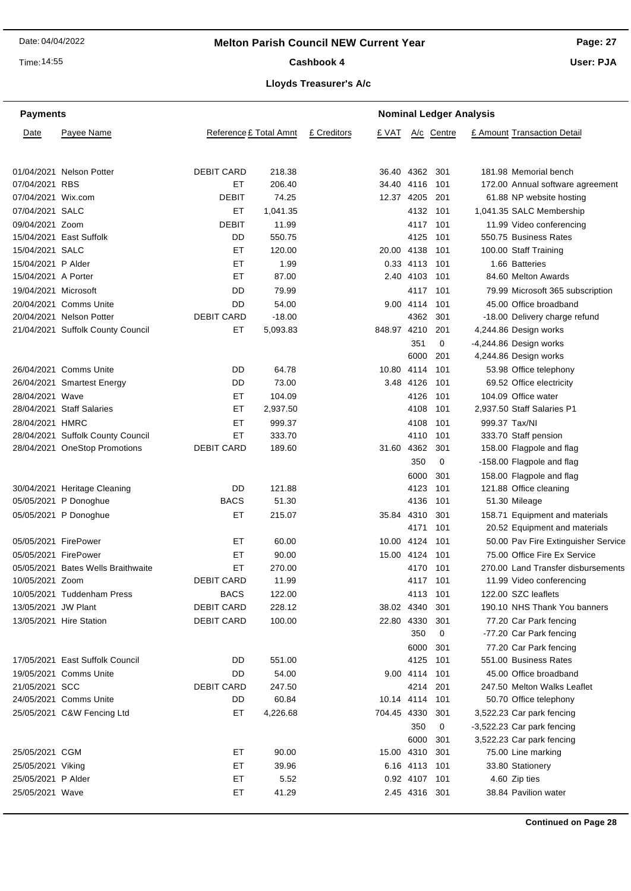Time: 14:55

#### **Page: 27**

**User: PJA**

# **Lloyds Treasurer's A/c** Cashbook 4

|  | oyas Treasurer's A/C |  |
|--|----------------------|--|
|  |                      |  |

| <b>Payments</b>      |                                    |                        |          |             |                 |                | <b>Nominal Ledger Analysis</b> |                                     |
|----------------------|------------------------------------|------------------------|----------|-------------|-----------------|----------------|--------------------------------|-------------------------------------|
| Date                 | Payee Name                         | Reference £ Total Amnt |          | £ Creditors | £ VAT           |                | A/c Centre                     | £ Amount Transaction Detail         |
|                      | 01/04/2021 Nelson Potter           | <b>DEBIT CARD</b>      | 218.38   |             |                 | 36.40 4362 301 |                                | 181.98 Memorial bench               |
| 07/04/2021 RBS       |                                    | EТ                     | 206.40   |             |                 | 34.40 4116     | 101                            | 172.00 Annual software agreement    |
| 07/04/2021 Wix.com   |                                    | <b>DEBIT</b>           | 74.25    |             | 12.37 4205 201  |                |                                | 61.88 NP website hosting            |
| 07/04/2021 SALC      |                                    | EТ                     | 1,041.35 |             |                 | 4132 101       |                                | 1,041.35 SALC Membership            |
| 09/04/2021 Zoom      |                                    | DEBIT                  | 11.99    |             |                 | 4117 101       |                                | 11.99 Video conferencing            |
|                      | 15/04/2021 East Suffolk            | DD                     | 550.75   |             |                 | 4125           | 101                            | 550.75 Business Rates               |
| 15/04/2021 SALC      |                                    | ЕT                     | 120.00   |             | 20.00 4138      |                | 101                            | 100.00 Staff Training               |
| 15/04/2021 P Alder   |                                    | ET                     | 1.99     |             |                 | 0.33 4113      | 101                            | 1.66 Batteries                      |
| 15/04/2021 A Porter  |                                    | ET                     | 87.00    |             |                 | 2.40 4103      | 101                            | 84.60 Melton Awards                 |
| 19/04/2021 Microsoft |                                    | DD                     | 79.99    |             |                 | 4117           | - 101                          | 79.99 Microsoft 365 subscription    |
|                      | 20/04/2021 Comms Unite             | DD                     | 54.00    |             |                 | 9.00 4114 101  |                                | 45.00 Office broadband              |
|                      | 20/04/2021 Nelson Potter           | <b>DEBIT CARD</b>      | $-18.00$ |             |                 | 4362 301       |                                | -18.00 Delivery charge refund       |
|                      | 21/04/2021 Suffolk County Council  | EТ                     | 5,093.83 |             | 848.97 4210     |                | 201                            | 4,244.86 Design works               |
|                      |                                    |                        |          |             |                 | 351            | 0                              | -4,244.86 Design works              |
|                      |                                    |                        |          |             |                 | 6000           | 201                            | 4,244.86 Design works               |
|                      | 26/04/2021 Comms Unite             | DD                     | 64.78    |             |                 | 10.80 4114 101 |                                | 53.98 Office telephony              |
|                      | 26/04/2021 Smartest Energy         | DD                     | 73.00    |             |                 | 3.48 4126      | 101                            | 69.52 Office electricity            |
| 28/04/2021 Wave      |                                    | EТ                     | 104.09   |             |                 | 4126           | -101                           | 104.09 Office water                 |
|                      | 28/04/2021 Staff Salaries          | EТ                     | 2,937.50 |             |                 | 4108           | 101                            | 2,937.50 Staff Salaries P1          |
| 28/04/2021 HMRC      |                                    | ET                     | 999.37   |             |                 | 4108           | 101                            | 999.37 Tax/NI                       |
|                      | 28/04/2021 Suffolk County Council  | ET                     | 333.70   |             |                 | 4110           | 101                            | 333.70 Staff pension                |
|                      | 28/04/2021 OneStop Promotions      | <b>DEBIT CARD</b>      | 189.60   |             | 31.60 4362      |                | 301                            | 158.00 Flagpole and flag            |
|                      |                                    |                        |          |             |                 | 350            | 0                              | -158.00 Flagpole and flag           |
|                      |                                    |                        |          |             |                 | 6000           | 301                            | 158.00 Flagpole and flag            |
|                      | 30/04/2021 Heritage Cleaning       | DD                     | 121.88   |             |                 | 4123           | 101                            | 121.88 Office cleaning              |
|                      | 05/05/2021 P Donoghue              | <b>BACS</b>            | 51.30    |             |                 | 4136           | 101                            | 51.30 Mileage                       |
|                      | 05/05/2021 P Donoghue              | ЕT                     | 215.07   |             | 35.84 4310      |                | 301                            | 158.71 Equipment and materials      |
|                      |                                    |                        |          |             |                 | 4171           | 101                            | 20.52 Equipment and materials       |
| 05/05/2021 FirePower |                                    | EТ                     | 60.00    |             |                 | 10.00 4124 101 |                                | 50.00 Pav Fire Extinguisher Service |
| 05/05/2021 FirePower |                                    | EТ                     | 90.00    |             |                 | 15.00 4124 101 |                                | 75.00 Office Fire Ex Service        |
|                      | 05/05/2021 Bates Wells Braithwaite | ЕT                     | 270.00   |             |                 | 4170 101       |                                | 270.00 Land Transfer disbursements  |
| 10/05/2021 Zoom      |                                    | <b>DEBIT CARD</b>      | 11.99    |             |                 | 4117 101       |                                | 11.99 Video conferencing            |
|                      | 10/05/2021 Tuddenham Press         | <b>BACS</b>            | 122.00   |             |                 | 4113 101       |                                | 122.00 SZC leaflets                 |
| 13/05/2021 JW Plant  |                                    | <b>DEBIT CARD</b>      | 228.12   |             | 38.02 4340 301  |                |                                | 190.10 NHS Thank You banners        |
|                      | 13/05/2021 Hire Station            | <b>DEBIT CARD</b>      | 100.00   |             | 22.80 4330 301  |                |                                | 77.20 Car Park fencing              |
|                      |                                    |                        |          |             |                 | 350            | 0                              | -77.20 Car Park fencing             |
|                      |                                    |                        |          |             |                 | 6000           | 301                            | 77.20 Car Park fencing              |
|                      | 17/05/2021 East Suffolk Council    | DD                     | 551.00   |             |                 | 4125 101       |                                | 551.00 Business Rates               |
|                      | 19/05/2021 Comms Unite             | DD                     | 54.00    |             |                 | 9.00 4114 101  |                                | 45.00 Office broadband              |
| 21/05/2021 SCC       |                                    | <b>DEBIT CARD</b>      | 247.50   |             |                 | 4214 201       |                                | 247.50 Melton Walks Leaflet         |
|                      | 24/05/2021 Comms Unite             | DD                     | 60.84    |             | 10.14 4114 101  |                |                                | 50.70 Office telephony              |
|                      | 25/05/2021 C&W Fencing Ltd         | ET                     | 4,226.68 |             | 704.45 4330 301 |                |                                | 3,522.23 Car park fencing           |
|                      |                                    |                        |          |             |                 | 350            | 0                              | -3,522.23 Car park fencing          |
|                      |                                    |                        |          |             |                 | 6000           | 301                            | 3,522.23 Car park fencing           |
| 25/05/2021 CGM       |                                    | ET                     | 90.00    |             | 15.00 4310 301  |                |                                | 75.00 Line marking                  |
| 25/05/2021 Viking    |                                    | ЕT                     | 39.96    |             |                 | 6.16 4113 101  |                                | 33.80 Stationery                    |
| 25/05/2021 P Alder   |                                    | ET                     | 5.52     |             |                 | 0.92 4107 101  |                                | 4.60 Zip ties                       |
| 25/05/2021 Wave      |                                    | ET                     | 41.29    |             |                 | 2.45 4316 301  |                                | 38.84 Pavilion water                |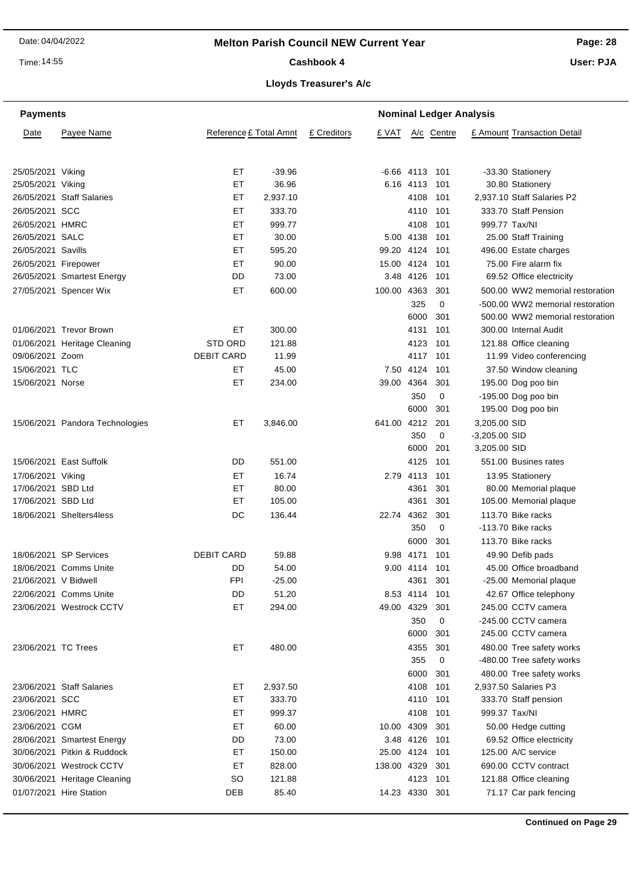Time: 14:55

#### Cashbook 4

**Page: 28**

**User: PJA**

| <b>Payments</b>      |                                 |                        | <b>Nominal Ledger Analysis</b> |             |                |                  |             |                 |                                  |
|----------------------|---------------------------------|------------------------|--------------------------------|-------------|----------------|------------------|-------------|-----------------|----------------------------------|
| Date                 | Payee Name                      | Reference £ Total Amnt |                                | £ Creditors | £ VAT          |                  | A/c Centre  |                 | £ Amount Transaction Detail      |
| 25/05/2021 Viking    |                                 | ET                     | $-39.96$                       |             |                | $-6.66$ 4113 101 |             |                 | -33.30 Stationery                |
| 25/05/2021 Viking    |                                 | ET                     | 36.96                          |             |                | 6.16 4113        | 101         |                 | 30.80 Stationery                 |
|                      | 26/05/2021 Staff Salaries       | EТ                     | 2,937.10                       |             |                | 4108             | 101         |                 | 2,937.10 Staff Salaries P2       |
| 26/05/2021 SCC       |                                 | EТ                     | 333.70                         |             |                | 4110 101         |             |                 | 333.70 Staff Pension             |
| 26/05/2021 HMRC      |                                 | ET                     | 999.77                         |             |                | 4108             | 101         | 999.77 Tax/NI   |                                  |
| 26/05/2021 SALC      |                                 | ET                     | 30.00                          |             |                | 5.00 4138        | 101         |                 | 25.00 Staff Training             |
| 26/05/2021 Savills   |                                 | ET                     | 595.20                         |             | 99.20 4124     |                  | 101         |                 | 496.00 Estate charges            |
| 26/05/2021 Firepower |                                 | EТ                     | 90.00                          |             | 15.00 4124     |                  | 101         |                 | 75.00 Fire alarm fix             |
|                      | 26/05/2021 Smartest Energy      | DD                     | 73.00                          |             |                | 3.48 4126        | 101         |                 | 69.52 Office electricity         |
|                      | 27/05/2021 Spencer Wix          | EТ                     | 600.00                         |             | 100.00 4363    |                  | 301         |                 | 500.00 WW2 memorial restoration  |
|                      |                                 |                        |                                |             |                | 325              | $\mathbf 0$ |                 | -500.00 WW2 memorial restoration |
|                      |                                 |                        |                                |             |                | 6000             | 301         |                 | 500.00 WW2 memorial restoration  |
|                      | 01/06/2021 Trevor Brown         | EТ                     | 300.00                         |             |                | 4131             | 101         |                 | 300.00 Internal Audit            |
|                      | 01/06/2021 Heritage Cleaning    | <b>STD ORD</b>         | 121.88                         |             |                | 4123             | 101         |                 | 121.88 Office cleaning           |
| 09/06/2021 Zoom      |                                 | <b>DEBIT CARD</b>      | 11.99                          |             |                | 4117 101         |             |                 | 11.99 Video conferencing         |
| 15/06/2021 TLC       |                                 | EТ                     | 45.00                          |             |                | 7.50 4124        | 101         |                 | 37.50 Window cleaning            |
| 15/06/2021 Norse     |                                 | EТ                     | 234.00                         |             | 39.00 4364     |                  | 301         |                 | 195.00 Dog poo bin               |
|                      |                                 |                        |                                |             |                | 350              | 0           |                 | -195.00 Dog poo bin              |
|                      |                                 |                        |                                |             |                | 6000             | 301         |                 | 195.00 Dog poo bin               |
|                      | 15/06/2021 Pandora Technologies | EТ                     | 3,846.00                       |             | 641.00 4212    |                  | 201         | 3,205.00 SID    |                                  |
|                      |                                 |                        |                                |             |                | 350              | $\mathbf 0$ | $-3,205.00$ SID |                                  |
|                      |                                 |                        |                                |             |                | 6000             | 201         | 3,205.00 SID    |                                  |
|                      | 15/06/2021 East Suffolk         | DD                     | 551.00                         |             |                | 4125             | 101         |                 | 551.00 Busines rates             |
| 17/06/2021 Viking    |                                 | ET                     | 16.74                          |             |                | 2.79 4113        | 101         |                 | 13.95 Stationery                 |
| 17/06/2021 SBD Ltd   |                                 | ET                     | 80.00                          |             |                | 4361             | 301         |                 | 80.00 Memorial plaque            |
| 17/06/2021 SBD Ltd   |                                 | ET                     | 105.00                         |             |                | 4361             | 301         |                 | 105.00 Memorial plaque           |
|                      | 18/06/2021 Shelters4less        | DC                     | 136.44                         |             | 22.74 4362     |                  | 301         |                 | 113.70 Bike racks                |
|                      |                                 |                        |                                |             |                | 350              | 0           |                 | $-113.70$ Bike racks             |
|                      |                                 |                        |                                |             |                | 6000             | 301         |                 | 113.70 Bike racks                |
|                      | 18/06/2021 SP Services          | <b>DEBIT CARD</b>      | 59.88                          |             |                | 9.98 4171        | 101         |                 | 49.90 Defib pads                 |
|                      | 18/06/2021 Comms Unite          | DD                     | 54.00                          |             |                | 9.00 4114        | 101         |                 | 45.00 Office broadband           |
| 21/06/2021 V Bidwell |                                 | <b>FPI</b>             | $-25.00$                       |             |                | 4361             | 301         |                 | -25.00 Memorial plaque           |
|                      | 22/06/2021 Comms Unite          | DD                     | 51.20                          |             |                | 8.53 4114 101    |             |                 | 42.67 Office telephony           |
|                      | 23/06/2021 Westrock CCTV        | <b>ET</b>              | 294.00                         |             | 49.00 4329     |                  | 301         |                 | 245.00 CCTV camera               |
|                      |                                 |                        |                                |             |                | 350              | 0           |                 | -245.00 CCTV camera              |
|                      |                                 |                        |                                |             |                | 6000             | 301         |                 | 245.00 CCTV camera               |
| 23/06/2021 TC Trees  |                                 | ET                     | 480.00                         |             |                | 4355             | 301         |                 | 480.00 Tree safety works         |
|                      |                                 |                        |                                |             |                | 355              | 0           |                 | -480.00 Tree safety works        |
|                      |                                 |                        |                                |             |                | 6000             | 301         |                 | 480.00 Tree safety works         |
|                      | 23/06/2021 Staff Salaries       | EТ                     | 2,937.50                       |             |                | 4108             | 101         |                 | 2,937.50 Salaries P3             |
| 23/06/2021 SCC       |                                 | EТ                     | 333.70                         |             |                | 4110 101         |             |                 | 333.70 Staff pension             |
| 23/06/2021 HMRC      |                                 | EТ                     | 999.37                         |             |                | 4108             | 101         | 999.37 Tax/NI   |                                  |
| 23/06/2021 CGM       |                                 | ET                     | 60.00                          |             | 10.00 4309     |                  | 301         |                 | 50.00 Hedge cutting              |
|                      | 28/06/2021 Smartest Energy      | DD                     | 73.00                          |             |                | 3.48 4126        | 101         |                 | 69.52 Office electricity         |
|                      | 30/06/2021 Pitkin & Ruddock     | ET                     | 150.00                         |             | 25.00 4124     |                  | 101         |                 | 125.00 A/C service               |
|                      | 30/06/2021 Westrock CCTV        | EТ                     | 828.00                         |             | 138.00 4329    |                  | 301         |                 | 690.00 CCTV contract             |
|                      | 30/06/2021 Heritage Cleaning    | <b>SO</b>              | 121.88                         |             |                | 4123             | 101         |                 | 121.88 Office cleaning           |
|                      | 01/07/2021 Hire Station         | DEB                    | 85.40                          |             | 14.23 4330 301 |                  |             |                 | 71.17 Car park fencing           |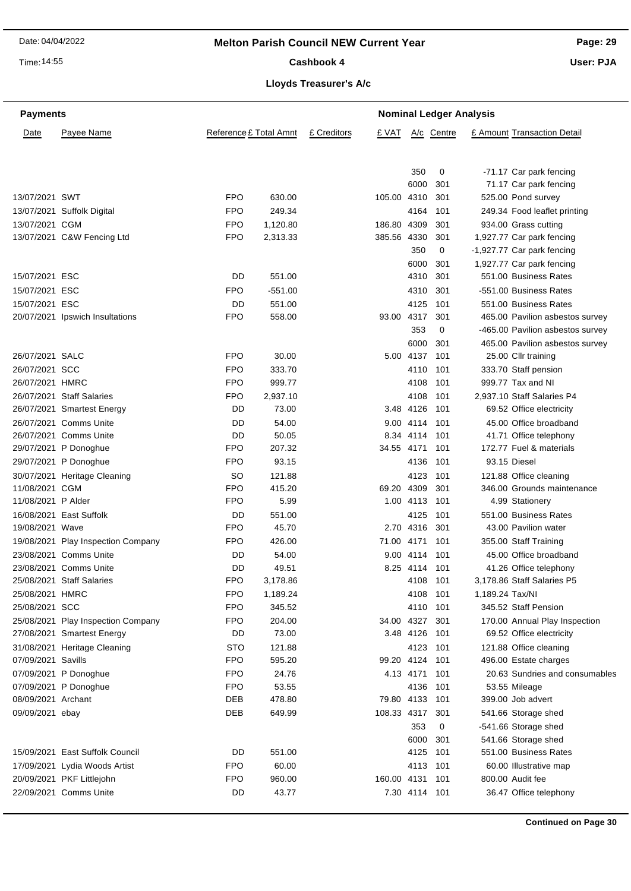Time: 14:55

Cashbook 4

**Page: 29**

**User: PJA**

#### **Lloyds Treasurer's A/c**

| <b>Payments</b>    |                                    |                        |           |             | <b>Nominal Ledger Analysis</b> |               |            |                             |                                  |  |
|--------------------|------------------------------------|------------------------|-----------|-------------|--------------------------------|---------------|------------|-----------------------------|----------------------------------|--|
| Date               | Payee Name                         | Reference £ Total Amnt |           | £ Creditors | £ VAT                          |               | A/c Centre | £ Amount Transaction Detail |                                  |  |
|                    |                                    |                        |           |             |                                | 350           | 0          |                             | -71.17 Car park fencing          |  |
|                    |                                    |                        |           |             |                                | 6000          | 301        |                             | 71.17 Car park fencing           |  |
| 13/07/2021 SWT     |                                    | <b>FPO</b>             | 630.00    |             | 105.00 4310                    |               | 301        |                             | 525.00 Pond survey               |  |
|                    | 13/07/2021 Suffolk Digital         | <b>FPO</b>             | 249.34    |             |                                | 4164          | 101        |                             | 249.34 Food leaflet printing     |  |
| 13/07/2021 CGM     |                                    | <b>FPO</b>             | 1,120.80  |             | 186.80 4309                    |               | 301        |                             | 934.00 Grass cutting             |  |
|                    | 13/07/2021 C&W Fencing Ltd         | <b>FPO</b>             | 2,313.33  |             | 385.56 4330                    |               | 301        |                             | 1,927.77 Car park fencing        |  |
|                    |                                    |                        |           |             |                                | 350           | 0          |                             | -1,927.77 Car park fencing       |  |
|                    |                                    |                        |           |             |                                | 6000          | 301        |                             | 1,927.77 Car park fencing        |  |
| 15/07/2021 ESC     |                                    | DD                     | 551.00    |             |                                | 4310          | 301        |                             | 551.00 Business Rates            |  |
| 15/07/2021 ESC     |                                    | <b>FPO</b>             | $-551.00$ |             |                                | 4310          | 301        |                             | -551.00 Business Rates           |  |
| 15/07/2021 ESC     |                                    | DD                     | 551.00    |             |                                | 4125          | 101        |                             | 551.00 Business Rates            |  |
|                    | 20/07/2021 Ipswich Insultations    | <b>FPO</b>             | 558.00    |             | 93.00 4317                     |               | 301        |                             | 465.00 Pavilion asbestos survey  |  |
|                    |                                    |                        |           |             |                                | 353           | 0          |                             | -465.00 Pavilion asbestos survey |  |
|                    |                                    |                        |           |             |                                | 6000          | 301        |                             | 465.00 Pavilion asbestos survey  |  |
| 26/07/2021 SALC    |                                    | <b>FPO</b>             | 30.00     |             |                                | 5.00 4137     | 101        |                             | 25.00 Cllr training              |  |
| 26/07/2021 SCC     |                                    | <b>FPO</b>             | 333.70    |             |                                | 4110          | 101        |                             | 333.70 Staff pension             |  |
| 26/07/2021 HMRC    |                                    | <b>FPO</b>             | 999.77    |             |                                | 4108          | 101        |                             | 999.77 Tax and NI                |  |
|                    | 26/07/2021 Staff Salaries          | <b>FPO</b>             | 2,937.10  |             |                                | 4108          | 101        |                             | 2,937.10 Staff Salaries P4       |  |
|                    | 26/07/2021 Smartest Energy         | DD                     | 73.00     |             |                                | 3.48 4126     | 101        |                             | 69.52 Office electricity         |  |
|                    | 26/07/2021 Comms Unite             | DD                     | 54.00     |             |                                | 9.00 4114     | 101        |                             | 45.00 Office broadband           |  |
|                    | 26/07/2021 Comms Unite             | DD                     | 50.05     |             |                                | 8.34 4114     | 101        |                             | 41.71 Office telephony           |  |
|                    | 29/07/2021 P Donoghue              | <b>FPO</b>             | 207.32    |             | 34.55 4171                     |               | 101        |                             | 172.77 Fuel & materials          |  |
|                    | 29/07/2021 P Donoghue              | <b>FPO</b>             | 93.15     |             |                                | 4136          | 101        |                             | 93.15 Diesel                     |  |
|                    | 30/07/2021 Heritage Cleaning       | <b>SO</b>              | 121.88    |             |                                | 4123          | 101        |                             | 121.88 Office cleaning           |  |
| 11/08/2021 CGM     |                                    | <b>FPO</b>             | 415.20    |             | 69.20 4309                     |               | 301        |                             | 346.00 Grounds maintenance       |  |
| 11/08/2021 P Alder |                                    | <b>FPO</b>             | 5.99      |             |                                | 1.00 4113     | 101        |                             | 4.99 Stationery                  |  |
|                    | 16/08/2021 East Suffolk            | DD                     | 551.00    |             |                                | 4125          | 101        |                             | 551.00 Business Rates            |  |
| 19/08/2021 Wave    |                                    | <b>FPO</b>             | 45.70     |             |                                | 2.70 4316     | 301        |                             | 43.00 Pavilion water             |  |
|                    | 19/08/2021 Play Inspection Company | <b>FPO</b>             | 426.00    |             | 71.00 4171                     |               | 101        |                             | 355.00 Staff Training            |  |
|                    | 23/08/2021 Comms Unite             | DD                     | 54.00     |             |                                | 9.00 4114     | 101        |                             | 45.00 Office broadband           |  |
|                    | 23/08/2021 Comms Unite             | DD                     | 49.51     |             |                                | 8.25 4114     | 101        |                             | 41.26 Office telephony           |  |
|                    | 25/08/2021 Staff Salaries          | <b>FPO</b>             | 3,178.86  |             |                                | 4108          | 101        |                             | 3,178.86 Staff Salaries P5       |  |
| 25/08/2021 HMRC    |                                    | <b>FPO</b>             | 1,189.24  |             |                                | 4108          | 101        | 1,189.24 Tax/NI             |                                  |  |
| 25/08/2021 SCC     |                                    | <b>FPO</b>             | 345.52    |             |                                | 4110 101      |            |                             | 345.52 Staff Pension             |  |
|                    | 25/08/2021 Play Inspection Company | <b>FPO</b>             | 204.00    |             | 34.00 4327                     |               | 301        |                             | 170.00 Annual Play Inspection    |  |
|                    | 27/08/2021 Smartest Energy         | DD                     | 73.00     |             |                                | 3.48 4126     | 101        |                             | 69.52 Office electricity         |  |
|                    | 31/08/2021 Heritage Cleaning       | <b>STO</b>             | 121.88    |             |                                | 4123          | 101        |                             | 121.88 Office cleaning           |  |
| 07/09/2021 Savills |                                    | <b>FPO</b>             | 595.20    |             | 99.20 4124                     |               | 101        |                             | 496.00 Estate charges            |  |
|                    | 07/09/2021 P Donoghue              | <b>FPO</b>             | 24.76     |             |                                | 4.13 4171     | 101        |                             | 20.63 Sundries and consumables   |  |
|                    | 07/09/2021 P Donoghue              | <b>FPO</b>             | 53.55     |             |                                | 4136          | 101        |                             | 53.55 Mileage                    |  |
| 08/09/2021 Archant |                                    | DEB                    | 478.80    |             | 79.80 4133                     |               | 101        |                             | 399.00 Job advert                |  |
| 09/09/2021 ebay    |                                    | DEB                    | 649.99    |             | 108.33 4317                    |               | 301        |                             | 541.66 Storage shed              |  |
|                    |                                    |                        |           |             |                                | 353           | 0          |                             | -541.66 Storage shed             |  |
|                    |                                    |                        |           |             |                                | 6000          | 301        |                             | 541.66 Storage shed              |  |
|                    | 15/09/2021 East Suffolk Council    | DD                     | 551.00    |             |                                | 4125          | 101        |                             | 551.00 Business Rates            |  |
|                    | 17/09/2021 Lydia Woods Artist      | <b>FPO</b>             | 60.00     |             |                                | 4113          | 101        |                             | 60.00 Illustrative map           |  |
|                    | 20/09/2021 PKF Littlejohn          | <b>FPO</b>             | 960.00    |             | 160.00 4131                    |               | 101        |                             | 800.00 Audit fee                 |  |
|                    | 22/09/2021 Comms Unite             | DD                     | 43.77     |             |                                | 7.30 4114 101 |            |                             | 36.47 Office telephony           |  |
|                    |                                    |                        |           |             |                                |               |            |                             |                                  |  |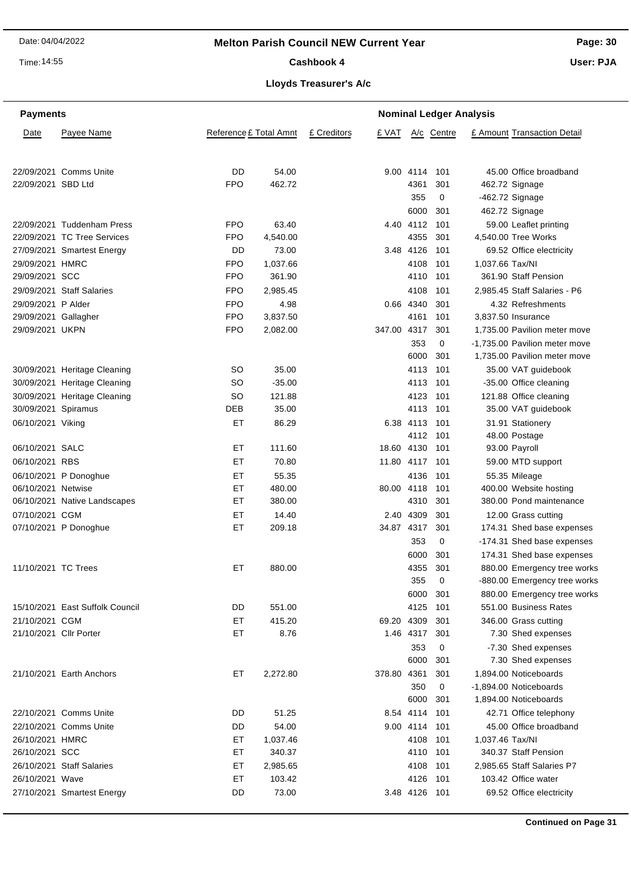Time: 14:55

#### Cashbook 4

**Page: 30**

**User: PJA**

#### **Lloyds Treasurer's A/c**

| <b>Payments</b>        |                                 |                        | <b>Nominal Ledger Analysis</b> |             |             |                |            |                     |                               |
|------------------------|---------------------------------|------------------------|--------------------------------|-------------|-------------|----------------|------------|---------------------|-------------------------------|
| Date                   | Payee Name                      | Reference £ Total Amnt |                                | £ Creditors | £ VAT       |                | A/c Centre |                     | £ Amount Transaction Detail   |
|                        | 22/09/2021 Comms Unite          | DD                     | 54.00                          |             |             | 9.00 4114      | 101        |                     | 45.00 Office broadband        |
| 22/09/2021 SBD Ltd     |                                 | <b>FPO</b>             | 462.72                         |             |             | 4361           | 301        | 462.72 Signage      |                               |
|                        |                                 |                        |                                |             |             | 355            | 0          | $-462.72$ Signage   |                               |
|                        |                                 |                        |                                |             |             | 6000           | 301        | 462.72 Signage      |                               |
|                        | 22/09/2021 Tuddenham Press      | <b>FPO</b>             | 63.40                          |             |             | 4.40 4112      | 101        |                     | 59.00 Leaflet printing        |
|                        | 22/09/2021 TC Tree Services     | <b>FPO</b>             | 4,540.00                       |             |             | 4355           | 301        | 4,540.00 Tree Works |                               |
|                        | 27/09/2021 Smartest Energy      | DD                     | 73.00                          |             |             | 3.48 4126      | 101        |                     | 69.52 Office electricity      |
| 29/09/2021 HMRC        |                                 | <b>FPO</b>             | 1,037.66                       |             |             | 4108           | 101        | 1,037.66 Tax/NI     |                               |
| 29/09/2021 SCC         |                                 | <b>FPO</b>             | 361.90                         |             |             | 4110           | 101        |                     | 361.90 Staff Pension          |
|                        | 29/09/2021 Staff Salaries       | <b>FPO</b>             | 2,985.45                       |             |             | 4108           | 101        |                     | 2,985.45 Staff Salaries - P6  |
| 29/09/2021 P Alder     |                                 | <b>FPO</b>             | 4.98                           |             |             | 0.66 4340      | 301        |                     | 4.32 Refreshments             |
| 29/09/2021 Gallagher   |                                 | <b>FPO</b>             | 3,837.50                       |             |             | 4161           | 101        | 3.837.50 Insurance  |                               |
| 29/09/2021 UKPN        |                                 | <b>FPO</b>             | 2,082.00                       |             | 347.00 4317 |                | 301        |                     | 1,735.00 Pavilion meter move  |
|                        |                                 |                        |                                |             |             | 353            | 0          |                     | -1,735.00 Pavilion meter move |
|                        |                                 |                        |                                |             |             | 6000           | 301        |                     | 1,735.00 Pavilion meter move  |
|                        | 30/09/2021 Heritage Cleaning    | SO                     | 35.00                          |             |             | 4113           | 101        |                     | 35.00 VAT guidebook           |
|                        | 30/09/2021 Heritage Cleaning    | <b>SO</b>              | $-35.00$                       |             |             | 4113           | 101        |                     | -35.00 Office cleaning        |
|                        | 30/09/2021 Heritage Cleaning    | <b>SO</b>              | 121.88                         |             |             | 4123           | 101        |                     | 121.88 Office cleaning        |
| 30/09/2021 Spiramus    |                                 | DEB                    | 35.00                          |             |             | 4113           | 101        |                     | 35.00 VAT guidebook           |
| 06/10/2021 Viking      |                                 | ET                     | 86.29                          |             |             | 6.38 4113 101  |            |                     | 31.91 Stationery              |
|                        |                                 |                        |                                |             |             | 4112 101       |            | 48.00 Postage       |                               |
| 06/10/2021 SALC        |                                 | EТ                     | 111.60                         |             |             | 18.60 4130 101 |            | 93.00 Payroll       |                               |
| 06/10/2021 RBS         |                                 | EТ                     | 70.80                          |             | 11.80 4117  |                | 101        |                     | 59.00 MTD support             |
|                        | 06/10/2021 P Donoghue           | EТ                     | 55.35                          |             |             | 4136           | 101        | 55.35 Mileage       |                               |
| 06/10/2021 Netwise     |                                 | EТ                     | 480.00                         |             | 80.00 4118  |                | 101        |                     | 400.00 Website hosting        |
|                        | 06/10/2021 Native Landscapes    | EТ                     | 380.00                         |             |             | 4310           | 301        |                     | 380.00 Pond maintenance       |
| 07/10/2021 CGM         |                                 | ET                     | 14.40                          |             |             | 2.40 4309      | 301        |                     | 12.00 Grass cutting           |
|                        | 07/10/2021 P Donoghue           | ET                     | 209.18                         |             | 34.87 4317  |                | 301        |                     | 174.31 Shed base expenses     |
|                        |                                 |                        |                                |             |             | 353            | 0          |                     | -174.31 Shed base expenses    |
|                        |                                 |                        |                                |             |             | 6000           | 301        |                     | 174.31 Shed base expenses     |
| 11/10/2021 TC Trees    |                                 | EТ                     | 880.00                         |             |             | 4355           | 301        |                     | 880.00 Emergency tree works   |
|                        |                                 |                        |                                |             |             | 355            | 0          |                     | -880.00 Emergency tree works  |
|                        |                                 |                        |                                |             |             | 6000           | 301        |                     | 880.00 Emergency tree works   |
|                        | 15/10/2021 East Suffolk Council | DD                     | 551.00                         |             |             | 4125           | 101        |                     | 551.00 Business Rates         |
| 21/10/2021 CGM         |                                 | EТ                     | 415.20                         |             | 69.20 4309  |                | 301        |                     | 346.00 Grass cutting          |
| 21/10/2021 Cllr Porter |                                 | EТ                     | 8.76                           |             |             | 1.46 4317      | 301        |                     | 7.30 Shed expenses            |
|                        |                                 |                        |                                |             |             | 353            | 0          |                     | -7.30 Shed expenses           |
|                        |                                 |                        |                                |             |             | 6000           | 301        |                     | 7.30 Shed expenses            |
|                        | 21/10/2021 Earth Anchors        | ET                     | 2,272.80                       |             | 378.80 4361 |                | 301        |                     | 1,894.00 Noticeboards         |
|                        |                                 |                        |                                |             |             | 350            | 0          |                     | -1,894.00 Noticeboards        |
|                        |                                 |                        |                                |             |             | 6000           | 301        |                     | 1,894.00 Noticeboards         |
|                        | 22/10/2021 Comms Unite          | DD                     | 51.25                          |             |             | 8.54 4114      | 101        |                     | 42.71 Office telephony        |
|                        | 22/10/2021 Comms Unite          | DD                     | 54.00                          |             |             | 9.00 4114 101  |            |                     | 45.00 Office broadband        |
| 26/10/2021 HMRC        |                                 | ET                     | 1,037.46                       |             |             | 4108           | 101        | 1,037.46 Tax/NI     |                               |
| 26/10/2021 SCC         |                                 | ET                     | 340.37                         |             |             | 4110 101       |            |                     | 340.37 Staff Pension          |
|                        | 26/10/2021 Staff Salaries       | ET                     | 2,985.65                       |             |             | 4108           | 101        |                     | 2,985.65 Staff Salaries P7    |
| 26/10/2021 Wave        |                                 | EТ                     | 103.42                         |             |             | 4126 101       |            |                     | 103.42 Office water           |
|                        | 27/10/2021 Smartest Energy      | DD                     | 73.00                          |             |             | 3.48 4126 101  |            |                     | 69.52 Office electricity      |
|                        |                                 |                        |                                |             |             |                |            |                     |                               |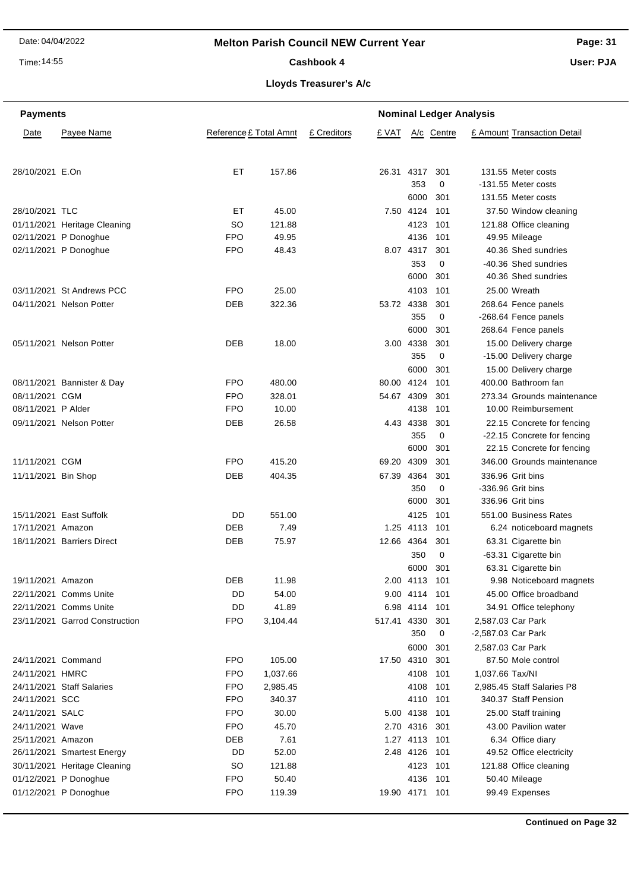Time: 14:55

#### Cashbook 4

**Page: 31 User: PJA**

**Lloyds Treasurer's A/c**

| <b>Payments</b>     |                                                       |                        |          | <b>Nominal Ledger Analysis</b> |                |               |            |                    |                             |
|---------------------|-------------------------------------------------------|------------------------|----------|--------------------------------|----------------|---------------|------------|--------------------|-----------------------------|
| Date                | Payee Name                                            | Reference £ Total Amnt |          | £ Creditors                    | £ VAT          |               | A/c Centre |                    | £ Amount Transaction Detail |
|                     |                                                       |                        |          |                                |                |               |            |                    |                             |
| 28/10/2021 E.On     |                                                       | <b>ET</b>              | 157.86   |                                | 26.31          | 4317          | 301        |                    | 131.55 Meter costs          |
|                     |                                                       |                        |          |                                |                | 353           | 0          |                    | -131.55 Meter costs         |
|                     |                                                       |                        |          |                                |                | 6000          | 301        |                    | 131.55 Meter costs          |
| 28/10/2021 TLC      |                                                       | EТ                     | 45.00    |                                |                | 7.50 4124     | 101        |                    | 37.50 Window cleaning       |
|                     |                                                       | SO                     | 121.88   |                                |                | 4123          |            |                    | 121.88 Office cleaning      |
|                     | 01/11/2021 Heritage Cleaning<br>02/11/2021 P Donoghue | <b>FPO</b>             | 49.95    |                                |                | 4136          | 101<br>101 |                    | 49.95 Mileage               |
|                     | 02/11/2021 P Donoghue                                 | <b>FPO</b>             | 48.43    |                                |                | 8.07 4317     | 301        |                    | 40.36 Shed sundries         |
|                     |                                                       |                        |          |                                |                | 353           | 0          |                    | -40.36 Shed sundries        |
|                     |                                                       |                        |          |                                |                | 6000          | 301        |                    | 40.36 Shed sundries         |
|                     |                                                       |                        |          |                                |                |               |            |                    |                             |
|                     | 03/11/2021 St Andrews PCC                             | <b>FPO</b>             | 25.00    |                                |                | 4103          | 101        |                    | 25.00 Wreath                |
|                     | 04/11/2021 Nelson Potter                              | DEB                    | 322.36   |                                | 53.72 4338     |               | 301        |                    | 268.64 Fence panels         |
|                     |                                                       |                        |          |                                |                | 355           | 0          |                    | -268.64 Fence panels        |
|                     |                                                       |                        |          |                                |                | 6000          | 301        |                    | 268.64 Fence panels         |
|                     | 05/11/2021 Nelson Potter                              | <b>DEB</b>             | 18.00    |                                |                | 3.00 4338     | 301        |                    | 15.00 Delivery charge       |
|                     |                                                       |                        |          |                                |                | 355           | 0          |                    | -15.00 Delivery charge      |
|                     |                                                       |                        |          |                                |                | 6000          | 301        |                    | 15.00 Delivery charge       |
|                     | 08/11/2021 Bannister & Day                            | <b>FPO</b>             | 480.00   |                                | 80.00 4124     |               | 101        |                    | 400.00 Bathroom fan         |
| 08/11/2021 CGM      |                                                       | <b>FPO</b>             | 328.01   |                                | 54.67 4309     |               | 301        |                    | 273.34 Grounds maintenance  |
| 08/11/2021 P Alder  |                                                       | <b>FPO</b>             | 10.00    |                                |                | 4138          | 101        |                    | 10.00 Reimbursement         |
|                     | 09/11/2021 Nelson Potter                              | DEB                    | 26.58    |                                |                | 4.43 4338     | 301        |                    | 22.15 Concrete for fencing  |
|                     |                                                       |                        |          |                                |                | 355           | 0          |                    | -22.15 Concrete for fencing |
|                     |                                                       |                        |          |                                |                | 6000          | 301        |                    | 22.15 Concrete for fencing  |
| 11/11/2021 CGM      |                                                       | <b>FPO</b>             | 415.20   |                                | 69.20 4309     |               | 301        |                    | 346.00 Grounds maintenance  |
| 11/11/2021 Bin Shop |                                                       | <b>DEB</b>             | 404.35   |                                | 67.39 4364     |               | 301        |                    | 336.96 Grit bins            |
|                     |                                                       |                        |          |                                |                | 350           | 0          |                    | -336.96 Grit bins           |
|                     |                                                       |                        |          |                                |                | 6000          | 301        |                    | 336.96 Grit bins            |
|                     | 15/11/2021 East Suffolk                               | DD                     | 551.00   |                                |                | 4125          | 101        |                    | 551.00 Business Rates       |
| 17/11/2021 Amazon   |                                                       | <b>DEB</b>             | 7.49     |                                |                | 1.25 4113     | 101        |                    | 6.24 noticeboard magnets    |
|                     | 18/11/2021 Barriers Direct                            | DEB                    | 75.97    |                                | 12.66 4364     |               | 301        |                    | 63.31 Cigarette bin         |
|                     |                                                       |                        |          |                                |                | 350           | 0          |                    | -63.31 Cigarette bin        |
|                     |                                                       |                        |          |                                |                | 6000          | -301       |                    | 63.31 Cigarette bin         |
| 19/11/2021 Amazon   |                                                       | DEB                    | 11.98    |                                |                | 2.00 4113     | 101        |                    | 9.98 Noticeboard magnets    |
|                     | 22/11/2021 Comms Unite                                | DD                     | 54.00    |                                |                | 9.00 4114     | 101        |                    | 45.00 Office broadband      |
|                     | 22/11/2021 Comms Unite                                | DD                     | 41.89    |                                |                | 6.98 4114     | 101        |                    | 34.91 Office telephony      |
|                     | 23/11/2021 Garrod Construction                        | <b>FPO</b>             | 3,104.44 |                                | 517.41 4330    |               | 301        |                    | 2,587.03 Car Park           |
|                     |                                                       |                        |          |                                |                | 350           |            |                    |                             |
|                     |                                                       |                        |          |                                |                |               | 0          | -2,587.03 Car Park |                             |
|                     |                                                       |                        |          |                                |                | 6000          | 301        |                    | 2,587.03 Car Park           |
| 24/11/2021 Command  |                                                       | <b>FPO</b>             | 105.00   |                                | 17.50 4310     |               | 301        |                    | 87.50 Mole control          |
| 24/11/2021 HMRC     |                                                       | <b>FPO</b>             | 1,037.66 |                                |                | 4108          | 101        | 1,037.66 Tax/NI    |                             |
|                     | 24/11/2021 Staff Salaries                             | <b>FPO</b>             | 2,985.45 |                                |                | 4108          | 101        |                    | 2,985.45 Staff Salaries P8  |
| 24/11/2021 SCC      |                                                       | <b>FPO</b>             | 340.37   |                                |                | 4110          | 101        |                    | 340.37 Staff Pension        |
| 24/11/2021 SALC     |                                                       | <b>FPO</b>             | 30.00    |                                |                | 5.00 4138     | -101       |                    | 25.00 Staff training        |
| 24/11/2021 Wave     |                                                       | <b>FPO</b>             | 45.70    |                                |                | 2.70 4316 301 |            |                    | 43.00 Pavilion water        |
| 25/11/2021 Amazon   |                                                       | <b>DEB</b>             | 7.61     |                                |                | 1.27 4113 101 |            |                    | 6.34 Office diary           |
|                     | 26/11/2021 Smartest Energy                            | DD                     | 52.00    |                                |                | 2.48 4126 101 |            |                    | 49.52 Office electricity    |
|                     | 30/11/2021 Heritage Cleaning                          | <b>SO</b>              | 121.88   |                                |                | 4123 101      |            |                    | 121.88 Office cleaning      |
|                     | 01/12/2021 P Donoghue                                 | <b>FPO</b>             | 50.40    |                                |                | 4136 101      |            |                    | 50.40 Mileage               |
|                     | 01/12/2021 P Donoghue                                 | <b>FPO</b>             | 119.39   |                                | 19.90 4171 101 |               |            |                    | 99.49 Expenses              |
|                     |                                                       |                        |          |                                |                |               |            |                    |                             |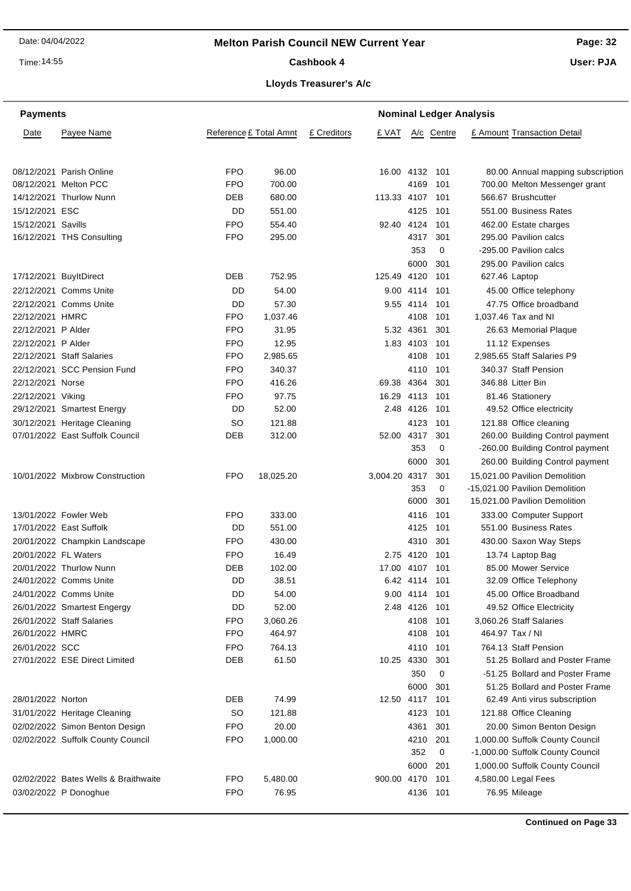Time: 14:55

## **Page: 32**

**User: PJA**

# Cashbook 4

| <b>Payments</b>      |                                      |            | <b>Nominal Ledger Analysis</b> |             |                 |               |            |  |                                   |
|----------------------|--------------------------------------|------------|--------------------------------|-------------|-----------------|---------------|------------|--|-----------------------------------|
| Date                 | Payee Name                           |            | Reference £ Total Amnt         | £ Creditors | £ VAT           |               | A/c Centre |  | £ Amount Transaction Detail       |
|                      | 08/12/2021 Parish Online             | <b>FPO</b> | 96.00                          |             | 16.00 4132 101  |               |            |  | 80.00 Annual mapping subscription |
|                      | 08/12/2021 Melton PCC                | <b>FPO</b> | 700.00                         |             |                 | 4169          | 101        |  | 700.00 Melton Messenger grant     |
|                      | 14/12/2021 Thurlow Nunn              | <b>DEB</b> | 680.00                         |             | 113.33 4107 101 |               |            |  | 566.67 Brushcutter                |
| 15/12/2021 ESC       |                                      | DD         | 551.00                         |             |                 | 4125          | 101        |  | 551.00 Business Rates             |
| 15/12/2021 Savills   |                                      | <b>FPO</b> | 554.40                         |             | 92.40 4124      |               | 101        |  | 462.00 Estate charges             |
|                      | 16/12/2021 THS Consulting            | <b>FPO</b> | 295.00                         |             |                 | 4317          | 301        |  | 295.00 Pavilion calcs             |
|                      |                                      |            |                                |             |                 | 353           | 0          |  | -295.00 Pavilion calcs            |
|                      |                                      |            |                                |             |                 | 6000          | 301        |  | 295.00 Pavilion calcs             |
|                      | 17/12/2021 BuyltDirect               | <b>DEB</b> | 752.95                         |             | 125.49 4120     |               | 101        |  | 627.46 Laptop                     |
|                      | 22/12/2021 Comms Unite               | DD         | 54.00                          |             |                 | 9.00 4114 101 |            |  | 45.00 Office telephony            |
|                      | 22/12/2021 Comms Unite               | DD         | 57.30                          |             |                 | 9.55 4114 101 |            |  | 47.75 Office broadband            |
| 22/12/2021 HMRC      |                                      | <b>FPO</b> | 1,037.46                       |             |                 | 4108          | 101        |  | 1,037.46 Tax and NI               |
| 22/12/2021 P Alder   |                                      | <b>FPO</b> | 31.95                          |             |                 | 5.32 4361     | 301        |  | 26.63 Memorial Plaque             |
| 22/12/2021 P Alder   |                                      | <b>FPO</b> | 12.95                          |             |                 | 1.83 4103     | 101        |  | 11.12 Expenses                    |
|                      | 22/12/2021 Staff Salaries            | <b>FPO</b> | 2,985.65                       |             |                 | 4108          | 101        |  | 2.985.65 Staff Salaries P9        |
|                      | 22/12/2021 SCC Pension Fund          | <b>FPO</b> | 340.37                         |             |                 | 4110          | 101        |  | 340.37 Staff Pension              |
| 22/12/2021 Norse     |                                      | <b>FPO</b> | 416.26                         |             | 69.38 4364      |               | 301        |  | 346.88 Litter Bin                 |
| 22/12/2021 Viking    |                                      | <b>FPO</b> | 97.75                          |             | 16.29 4113      |               | 101        |  | 81.46 Stationery                  |
|                      | 29/12/2021 Smartest Energy           | DD         | 52.00                          |             |                 | 2.48 4126     | 101        |  | 49.52 Office electricity          |
|                      | 30/12/2021 Heritage Cleaning         | SO         | 121.88                         |             |                 | 4123          | 101        |  | 121.88 Office cleaning            |
|                      | 07/01/2022 East Suffolk Council      | DEB        | 312.00                         |             | 52.00 4317      |               | 301        |  | 260.00 Building Control payment   |
|                      |                                      |            |                                |             |                 | 353           | 0          |  | -260.00 Building Control payment  |
|                      |                                      |            |                                |             |                 | 6000          | 301        |  | 260.00 Building Control payment   |
|                      | 10/01/2022 Mixbrow Construction      | <b>FPO</b> | 18,025.20                      |             | 3,004.20 4317   |               | 301        |  | 15,021.00 Pavilion Demolition     |
|                      |                                      |            |                                |             |                 | 353           | 0          |  | -15,021.00 Pavilion Demolition    |
|                      |                                      |            |                                |             |                 | 6000          | 301        |  | 15,021.00 Pavilion Demolition     |
|                      | 13/01/2022 Fowler Web                | <b>FPO</b> | 333.00                         |             |                 | 4116          | 101        |  | 333.00 Computer Support           |
|                      | 17/01/2022 East Suffolk              | DD         | 551.00                         |             |                 | 4125          | 101        |  | 551.00 Business Rates             |
|                      | 20/01/2022 Champkin Landscape        | <b>FPO</b> | 430.00                         |             |                 | 4310          | 301        |  | 430.00 Saxon Way Steps            |
| 20/01/2022 FL Waters |                                      | <b>FPO</b> | 16.49                          |             |                 | 2.75 4120     | 101        |  | 13.74 Laptop Bag                  |
|                      | 20/01/2022 Thurlow Nunn              | <b>DEB</b> | 102.00                         |             | 17.00 4107 101  |               |            |  | 85.00 Mower Service               |
|                      | 24/01/2022 Comms Unite               | DD         | 38.51                          |             |                 | 6.42 4114 101 |            |  | 32.09 Office Telephony            |
|                      | 24/01/2022 Comms Unite               | DD         | 54.00                          |             |                 | 9.00 4114 101 |            |  | 45.00 Office Broadband            |
|                      | 26/01/2022 Smartest Engergy          | DD         | 52.00                          |             |                 | 2.48 4126 101 |            |  | 49.52 Office Electricity          |
|                      | 26/01/2022 Staff Salaries            | <b>FPO</b> | 3,060.26                       |             |                 | 4108 101      |            |  | 3,060.26 Staff Salaries           |
| 26/01/2022 HMRC      |                                      | <b>FPO</b> | 464.97                         |             |                 | 4108 101      |            |  | 464.97 Tax / NI                   |
| 26/01/2022 SCC       |                                      | <b>FPO</b> | 764.13                         |             |                 | 4110          | 101        |  | 764.13 Staff Pension              |
|                      | 27/01/2022 ESE Direct Limited        | DEB        | 61.50                          |             | 10.25 4330      |               | 301        |  | 51.25 Bollard and Poster Frame    |
|                      |                                      |            |                                |             |                 | 350           | 0          |  | -51.25 Bollard and Poster Frame   |
|                      |                                      |            |                                |             |                 | 6000          | 301        |  | 51.25 Bollard and Poster Frame    |
| 28/01/2022 Norton    |                                      | DEB        | 74.99                          |             | 12.50 4117 101  |               |            |  | 62.49 Anti virus subscription     |
|                      | 31/01/2022 Heritage Cleaning         | SO         | 121.88                         |             |                 | 4123 101      |            |  | 121.88 Office Cleaning            |
|                      | 02/02/2022 Simon Benton Design       | <b>FPO</b> | 20.00                          |             |                 | 4361          | 301        |  | 20.00 Simon Benton Design         |
|                      | 02/02/2022 Suffolk County Council    | <b>FPO</b> | 1,000.00                       |             |                 | 4210          | 201        |  | 1,000.00 Suffolk County Council   |
|                      |                                      |            |                                |             |                 | 352           | 0          |  | -1,000.00 Suffolk County Council  |
|                      |                                      |            |                                |             |                 | 6000          | 201        |  | 1,000.00 Suffolk County Council   |
|                      | 02/02/2022 Bates Wells & Braithwaite | <b>FPO</b> | 5,480.00                       |             | 900.00 4170     |               | 101        |  | 4,580.00 Legal Fees               |
|                      | 03/02/2022 P Donoghue                | <b>FPO</b> | 76.95                          |             |                 |               | 4136 101   |  | 76.95 Mileage                     |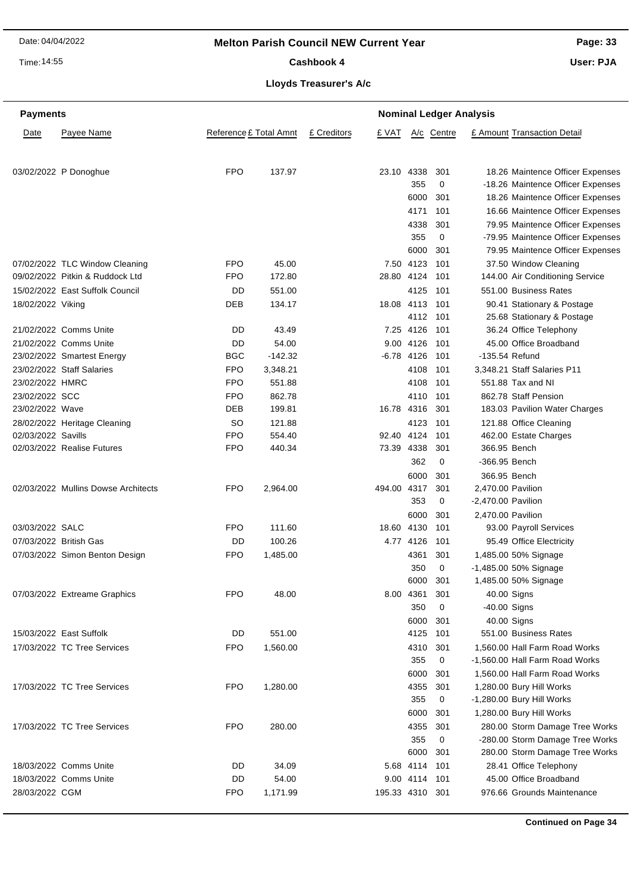#### **Melton Parish Council NEW Current Year**

Time: 14:55

#### **Page: 33**

**User: PJA**

**Lloyds Treasurer's A/c** Cashbook 4

| <b>Payments</b>        |                                     |                        |           |                      | <b>Nominal Ledger Analysis</b> |             |                      |                                                  |  |  |
|------------------------|-------------------------------------|------------------------|-----------|----------------------|--------------------------------|-------------|----------------------|--------------------------------------------------|--|--|
| Date                   | Payee Name                          | Reference £ Total Amnt |           | £ Creditors<br>£ VAT |                                | A/c Centre  |                      | £ Amount Transaction Detail                      |  |  |
|                        |                                     |                        |           |                      |                                |             |                      |                                                  |  |  |
|                        | 03/02/2022 P Donoghue               | <b>FPO</b>             | 137.97    | 23.10                | 4338                           | 301         |                      | 18.26 Maintence Officer Expenses                 |  |  |
|                        |                                     |                        |           |                      | 355                            | 0           |                      | -18.26 Maintence Officer Expenses                |  |  |
|                        |                                     |                        |           |                      | 6000                           | 301         |                      | 18.26 Maintence Officer Expenses                 |  |  |
|                        |                                     |                        |           |                      | 4171                           | 101         |                      | 16.66 Maintence Officer Expenses                 |  |  |
|                        |                                     |                        |           |                      | 4338                           | 301         |                      | 79.95 Maintence Officer Expenses                 |  |  |
|                        |                                     |                        |           |                      | 355                            | 0           |                      | -79.95 Maintence Officer Expenses                |  |  |
|                        |                                     |                        |           |                      | 6000                           | 301         |                      | 79.95 Maintence Officer Expenses                 |  |  |
|                        | 07/02/2022 TLC Window Cleaning      | FPO                    | 45.00     |                      | 7.50 4123                      | 101         |                      | 37.50 Window Cleaning                            |  |  |
|                        | 09/02/2022 Pitkin & Ruddock Ltd     | FPO                    | 172.80    |                      | 28.80 4124                     | 101         |                      | 144.00 Air Conditioning Service                  |  |  |
|                        | 15/02/2022 East Suffolk Council     | DD                     | 551.00    |                      | 4125                           | - 101       |                      | 551.00 Business Rates                            |  |  |
| 18/02/2022 Viking      |                                     | DEB                    | 134.17    |                      | 18.08 4113                     | - 101       |                      | 90.41 Stationary & Postage                       |  |  |
|                        |                                     |                        |           |                      |                                | 4112 101    |                      | 25.68 Stationary & Postage                       |  |  |
|                        | 21/02/2022 Comms Unite              | DD                     | 43.49     |                      | 7.25 4126 101                  |             |                      | 36.24 Office Telephony                           |  |  |
|                        | 21/02/2022 Comms Unite              | DD                     | 54.00     |                      | 9.00 4126                      | - 101       |                      | 45.00 Office Broadband                           |  |  |
|                        | 23/02/2022 Smartest Energy          | <b>BGC</b>             | $-142.32$ |                      | $-6.78$ 4126                   | 101         |                      | -135.54 Refund                                   |  |  |
|                        | 23/02/2022 Staff Salaries           | FPO                    | 3,348.21  |                      | 4108                           | 101         |                      | 3,348.21 Staff Salaries P11                      |  |  |
| 23/02/2022 HMRC        |                                     | FPO                    | 551.88    |                      | 4108                           | 101         |                      | 551.88 Tax and NI                                |  |  |
| 23/02/2022 SCC         |                                     | FPO                    | 862.78    |                      | 4110                           | - 101       |                      | 862.78 Staff Pension                             |  |  |
| 23/02/2022 Wave        |                                     | DEB                    | 199.81    |                      | 16.78 4316                     | 301         |                      | 183.03 Pavilion Water Charges                    |  |  |
|                        | 28/02/2022 Heritage Cleaning        | <b>SO</b>              | 121.88    |                      | 4123                           | 101         |                      | 121.88 Office Cleaning                           |  |  |
| 02/03/2022 Savills     |                                     | <b>FPO</b>             | 554.40    | 92.40                | 4124                           | 101         |                      | 462.00 Estate Charges                            |  |  |
|                        | 02/03/2022 Realise Futures          | FPO                    | 440.34    |                      | 73.39 4338                     | 301         |                      | 366.95 Bench                                     |  |  |
|                        |                                     |                        |           |                      | 362                            | 0           | -366.95 Bench        |                                                  |  |  |
|                        |                                     |                        |           |                      | 6000                           | 301         |                      | 366.95 Bench                                     |  |  |
|                        | 02/03/2022 Mullins Dowse Architects | <b>FPO</b>             | 2,964.00  |                      | 494.00 4317                    | 301         | 2,470.00 Pavilion    |                                                  |  |  |
|                        |                                     |                        |           |                      | 353                            | 0           | $-2,470.00$ Pavilion |                                                  |  |  |
|                        |                                     |                        |           |                      | 6000                           | 301         | 2,470.00 Pavilion    |                                                  |  |  |
| 03/03/2022 SALC        |                                     | <b>FPO</b>             | 111.60    |                      | 18.60 4130                     | 101         |                      | 93.00 Payroll Services                           |  |  |
| 07/03/2022 British Gas |                                     | DD                     | 100.26    |                      | 4.77 4126                      | 101         |                      | 95.49 Office Electricity                         |  |  |
|                        | 07/03/2022 Simon Benton Design      | FPO                    | 1,485.00  |                      | 4361                           | 301         |                      | 1,485.00 50% Signage                             |  |  |
|                        |                                     |                        |           |                      | 350                            | 0           |                      | -1,485.00 50% Signage                            |  |  |
|                        |                                     |                        |           |                      | 6000                           | 301         |                      | 1,485.00 50% Signage                             |  |  |
|                        | 07/03/2022 Extreame Graphics        | FPO                    | 48.00     |                      | 8.00 4361                      | 301         |                      | 40.00 Signs                                      |  |  |
|                        |                                     |                        |           |                      | 350                            | $\mathbf 0$ | -40.00 Signs         |                                                  |  |  |
|                        |                                     |                        |           |                      | 6000                           | 301         |                      | 40.00 Signs                                      |  |  |
|                        | 15/03/2022 East Suffolk             | DD                     | 551.00    |                      | 4125                           | 101         |                      | 551.00 Business Rates                            |  |  |
|                        | 17/03/2022 TC Tree Services         | FPO                    | 1,560.00  |                      | 4310                           | 301         |                      | 1,560.00 Hall Farm Road Works                    |  |  |
|                        |                                     |                        |           |                      | 355                            | 0           |                      | -1,560.00 Hall Farm Road Works                   |  |  |
|                        |                                     | <b>FPO</b>             | 1,280.00  |                      | 6000                           | 301         |                      | 1,560.00 Hall Farm Road Works                    |  |  |
|                        | 17/03/2022 TC Tree Services         |                        |           |                      | 4355<br>355                    | 301<br>0    |                      | 1,280.00 Bury Hill Works                         |  |  |
|                        |                                     |                        |           |                      |                                |             |                      | -1,280.00 Bury Hill Works                        |  |  |
|                        |                                     |                        |           |                      | 6000                           | 301         |                      | 1,280.00 Bury Hill Works                         |  |  |
|                        | 17/03/2022 TC Tree Services         | <b>FPO</b>             | 280.00    |                      | 4355                           | 301         |                      | 280.00 Storm Damage Tree Works                   |  |  |
|                        |                                     |                        |           |                      | 355<br>6000                    | 0<br>301    |                      | -280.00 Storm Damage Tree Works                  |  |  |
|                        | 18/03/2022 Comms Unite              | DD                     | 34.09     |                      | 5.68 4114                      | 101         |                      | 280.00 Storm Damage Tree Works                   |  |  |
|                        | 18/03/2022 Comms Unite              | DD                     | 54.00     |                      | 9.00 4114 101                  |             |                      | 28.41 Office Telephony<br>45.00 Office Broadband |  |  |
| 28/03/2022 CGM         |                                     | <b>FPO</b>             | 1,171.99  |                      | 195.33 4310 301                |             |                      | 976.66 Grounds Maintenance                       |  |  |
|                        |                                     |                        |           |                      |                                |             |                      |                                                  |  |  |